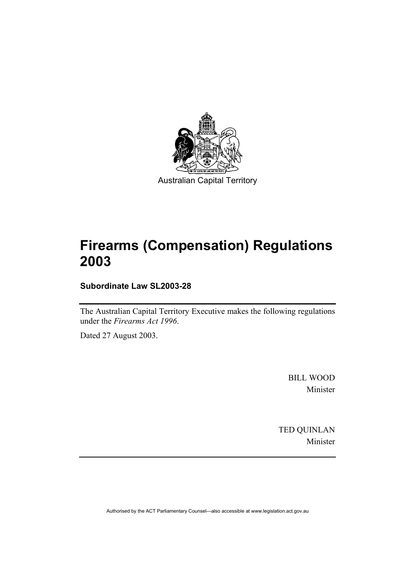

Australian Capital Territory

# **Firearms (Compensation) Regulations 2003**

**Subordinate Law SL2003-28** 

The Australian Capital Territory Executive makes the following regulations under the *Firearms Act 1996*.

Dated 27 August 2003.

BILL WOOD Minister

TED QUINLAN Minister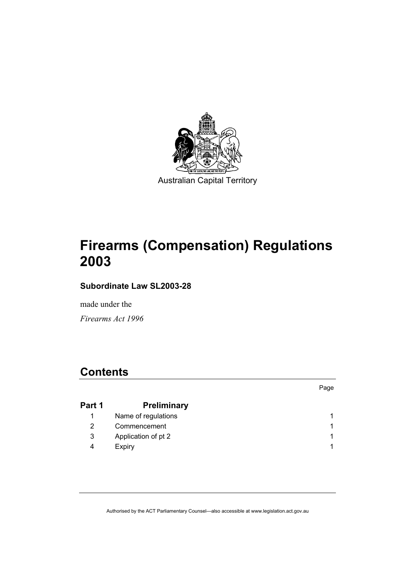

Australian Capital Territory

# **Firearms (Compensation) Regulations 2003**

**Subordinate Law SL2003-28** 

made under the

*Firearms Act 1996* 

## **Contents**

| Part 1 | <b>Preliminary</b>  |  |
|--------|---------------------|--|
|        | Name of regulations |  |
| 2      | Commencement        |  |
| 3      | Application of pt 2 |  |
| 4      | Expiry              |  |

Page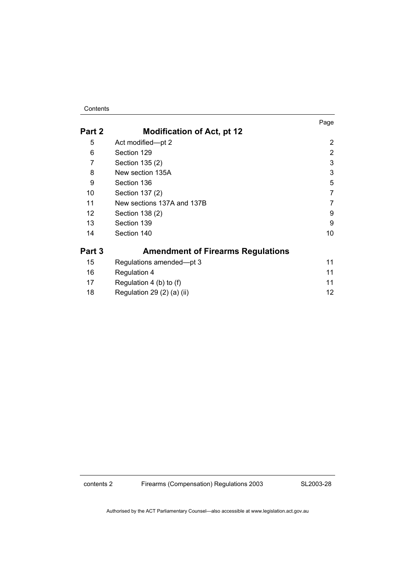Contents

|        |                                          | Page |
|--------|------------------------------------------|------|
| Part 2 | <b>Modification of Act, pt 12</b>        |      |
| 5      | Act modified-pt 2                        | 2    |
| 6      | Section 129                              | 2    |
| 7      | Section 135 (2)                          | 3    |
| 8      | New section 135A                         | 3    |
| 9      | Section 136                              | 5    |
| 10     | Section 137 (2)                          | 7    |
| 11     | New sections 137A and 137B               | 7    |
| 12     | Section 138 (2)                          | 9    |
| 13     | Section 139                              | 9    |
| 14     | Section 140                              | 10   |
| Part 3 | <b>Amendment of Firearms Regulations</b> |      |
| 15     | Regulations amended-pt 3                 | 11   |
| 16     | <b>Regulation 4</b>                      | 11   |
| 17     | Regulation 4 (b) to (f)                  | 11   |
| 18     | Regulation 29 $(2)$ $(a)$ $(ii)$         | 12   |

contents 2 Firearms (Compensation) Regulations 2003

SL2003-28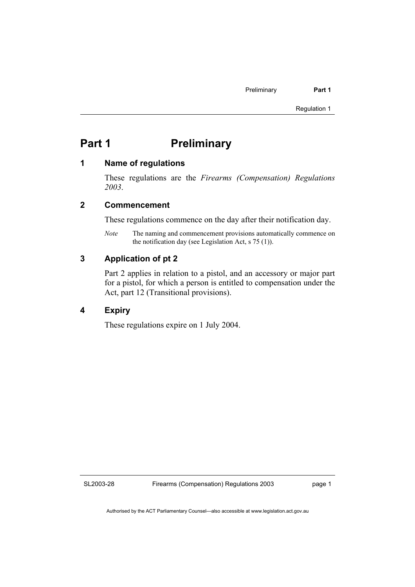## **Part 1** Preliminary

#### **1 Name of regulations**

These regulations are the *Firearms (Compensation) Regulations 2003*.

#### **2 Commencement**

These regulations commence on the day after their notification day.

*Note* The naming and commencement provisions automatically commence on the notification day (see Legislation Act, s 75 (1)).

### **3 Application of pt 2**

Part 2 applies in relation to a pistol, and an accessory or major part for a pistol, for which a person is entitled to compensation under the Act, part 12 (Transitional provisions).

### **4 Expiry**

These regulations expire on 1 July 2004.

SL2003-28

page 1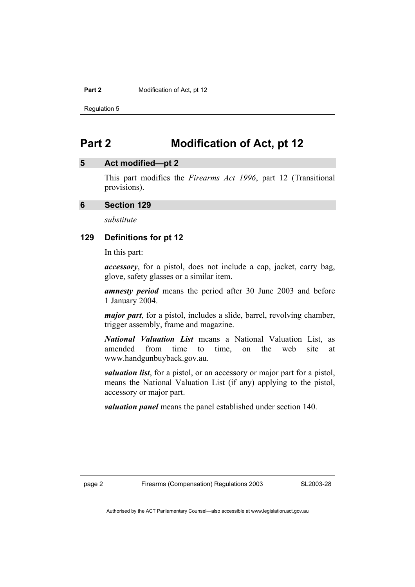Regulation 5

## **Part 2 Modification of Act, pt 12**

### **5 Act modified—pt 2**

This part modifies the *Firearms Act 1996*, part 12 (Transitional provisions).

#### **6 Section 129**

*substitute* 

#### **129 Definitions for pt 12**

In this part:

*accessory*, for a pistol, does not include a cap, jacket, carry bag, glove, safety glasses or a similar item.

*amnesty period* means the period after 30 June 2003 and before 1 January 2004.

*major part*, for a pistol, includes a slide, barrel, revolving chamber, trigger assembly, frame and magazine.

*National Valuation List* means a National Valuation List, as amended from time to time, on the web site at www.handgunbuyback.gov.au.

*valuation list*, for a pistol, or an accessory or major part for a pistol, means the National Valuation List (if any) applying to the pistol, accessory or major part.

*valuation panel* means the panel established under section 140.

page 2 Firearms (Compensation) Regulations 2003

SL2003-28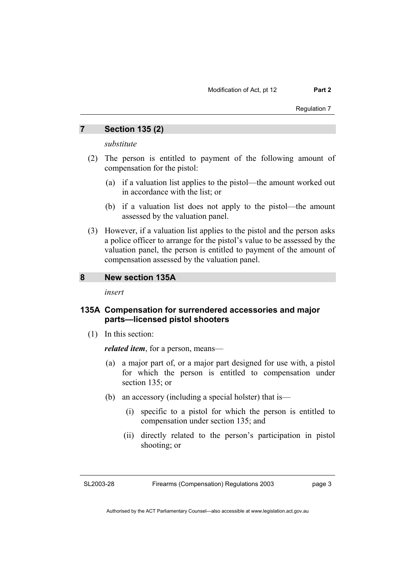Regulation 7

#### **7 Section 135 (2)**

*substitute* 

- (2) The person is entitled to payment of the following amount of compensation for the pistol:
	- (a) if a valuation list applies to the pistol—the amount worked out in accordance with the list; or
	- (b) if a valuation list does not apply to the pistol—the amount assessed by the valuation panel.
- (3) However, if a valuation list applies to the pistol and the person asks a police officer to arrange for the pistol's value to be assessed by the valuation panel, the person is entitled to payment of the amount of compensation assessed by the valuation panel.

#### **8 New section 135A**

*insert* 

#### **135A Compensation for surrendered accessories and major parts—licensed pistol shooters**

(1) In this section:

*related item*, for a person, means—

- (a) a major part of, or a major part designed for use with, a pistol for which the person is entitled to compensation under section 135; or
- (b) an accessory (including a special holster) that is—
	- (i) specific to a pistol for which the person is entitled to compensation under section 135; and
	- (ii) directly related to the person's participation in pistol shooting; or

SL2003-28

Firearms (Compensation) Regulations 2003

page 3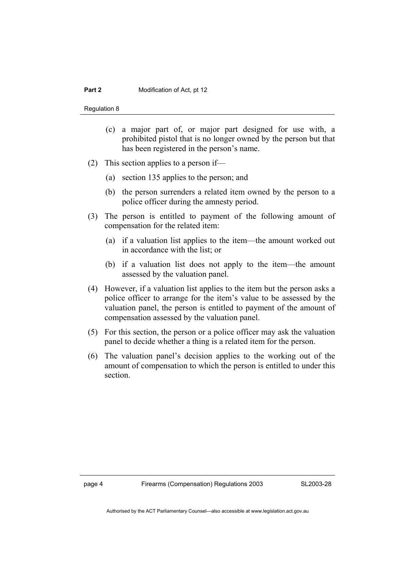Regulation 8

- (c) a major part of, or major part designed for use with, a prohibited pistol that is no longer owned by the person but that has been registered in the person's name.
- (2) This section applies to a person if—
	- (a) section 135 applies to the person; and
	- (b) the person surrenders a related item owned by the person to a police officer during the amnesty period.
- (3) The person is entitled to payment of the following amount of compensation for the related item:
	- (a) if a valuation list applies to the item—the amount worked out in accordance with the list; or
	- (b) if a valuation list does not apply to the item—the amount assessed by the valuation panel.
- (4) However, if a valuation list applies to the item but the person asks a police officer to arrange for the item's value to be assessed by the valuation panel, the person is entitled to payment of the amount of compensation assessed by the valuation panel.
- (5) For this section, the person or a police officer may ask the valuation panel to decide whether a thing is a related item for the person.
- (6) The valuation panel's decision applies to the working out of the amount of compensation to which the person is entitled to under this section.

page 4 Firearms (Compensation) Regulations 2003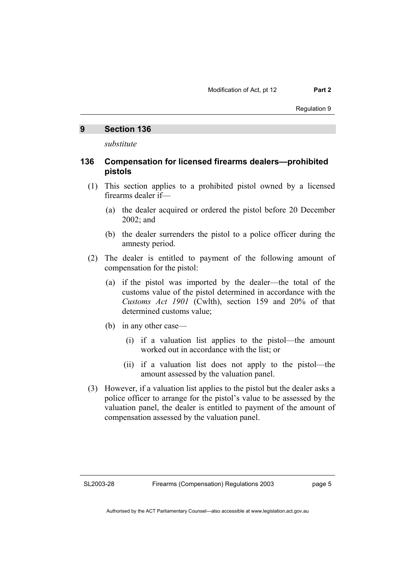#### **9 Section 136**

*substitute* 

#### **136 Compensation for licensed firearms dealers—prohibited pistols**

- (1) This section applies to a prohibited pistol owned by a licensed firearms dealer if—
	- (a) the dealer acquired or ordered the pistol before 20 December 2002; and
	- (b) the dealer surrenders the pistol to a police officer during the amnesty period.
- (2) The dealer is entitled to payment of the following amount of compensation for the pistol:
	- (a) if the pistol was imported by the dealer—the total of the customs value of the pistol determined in accordance with the *Customs Act 1901* (Cwlth), section 159 and 20% of that determined customs value;
	- (b) in any other case—
		- (i) if a valuation list applies to the pistol—the amount worked out in accordance with the list; or
		- (ii) if a valuation list does not apply to the pistol—the amount assessed by the valuation panel.
- (3) However, if a valuation list applies to the pistol but the dealer asks a police officer to arrange for the pistol's value to be assessed by the valuation panel, the dealer is entitled to payment of the amount of compensation assessed by the valuation panel.

SL2003-28

page 5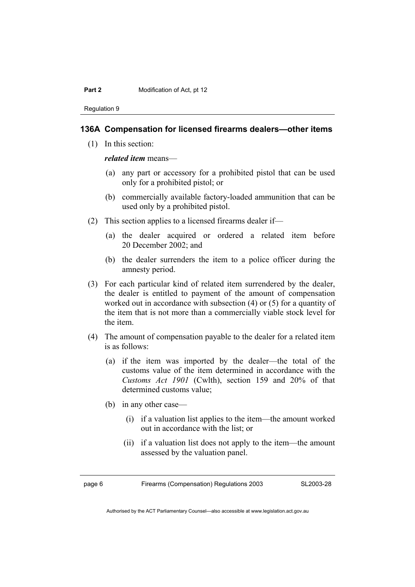Regulation 9

#### **136A Compensation for licensed firearms dealers—other items**

(1) In this section:

*related item* means—

- (a) any part or accessory for a prohibited pistol that can be used only for a prohibited pistol; or
- (b) commercially available factory-loaded ammunition that can be used only by a prohibited pistol.
- (2) This section applies to a licensed firearms dealer if—
	- (a) the dealer acquired or ordered a related item before 20 December 2002; and
	- (b) the dealer surrenders the item to a police officer during the amnesty period.
- (3) For each particular kind of related item surrendered by the dealer, the dealer is entitled to payment of the amount of compensation worked out in accordance with subsection (4) or (5) for a quantity of the item that is not more than a commercially viable stock level for the item.
- (4) The amount of compensation payable to the dealer for a related item is as follows:
	- (a) if the item was imported by the dealer—the total of the customs value of the item determined in accordance with the *Customs Act 1901* (Cwlth), section 159 and 20% of that determined customs value;
	- (b) in any other case—
		- (i) if a valuation list applies to the item—the amount worked out in accordance with the list; or
		- (ii) if a valuation list does not apply to the item—the amount assessed by the valuation panel.

page 6 Firearms (Compensation) Regulations 2003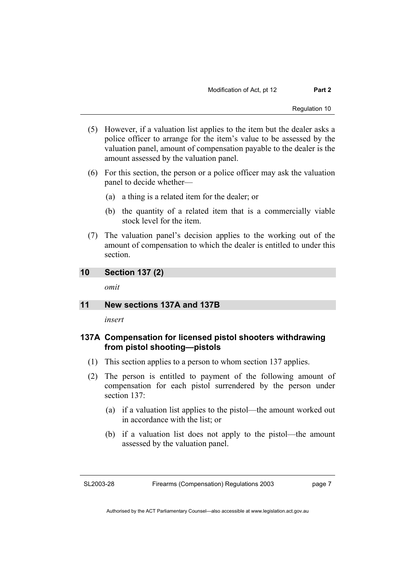- (5) However, if a valuation list applies to the item but the dealer asks a police officer to arrange for the item's value to be assessed by the valuation panel, amount of compensation payable to the dealer is the amount assessed by the valuation panel.
- (6) For this section, the person or a police officer may ask the valuation panel to decide whether—
	- (a) a thing is a related item for the dealer; or
	- (b) the quantity of a related item that is a commercially viable stock level for the item.
- (7) The valuation panel's decision applies to the working out of the amount of compensation to which the dealer is entitled to under this section.

#### **10 Section 137 (2)**

*omit* 

#### **11 New sections 137A and 137B**

*insert* 

#### **137A Compensation for licensed pistol shooters withdrawing from pistol shooting—pistols**

- (1) This section applies to a person to whom section 137 applies.
- (2) The person is entitled to payment of the following amount of compensation for each pistol surrendered by the person under section 137:
	- (a) if a valuation list applies to the pistol—the amount worked out in accordance with the list; or
	- (b) if a valuation list does not apply to the pistol—the amount assessed by the valuation panel.

SL2003-28

page 7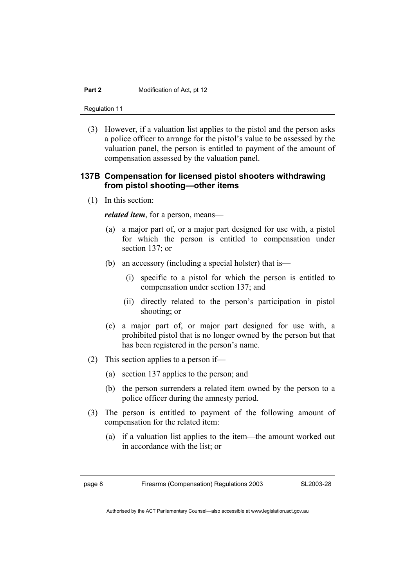Regulation 11

 (3) However, if a valuation list applies to the pistol and the person asks a police officer to arrange for the pistol's value to be assessed by the valuation panel, the person is entitled to payment of the amount of compensation assessed by the valuation panel.

#### **137B Compensation for licensed pistol shooters withdrawing from pistol shooting—other items**

(1) In this section:

*related item*, for a person, means—

- (a) a major part of, or a major part designed for use with, a pistol for which the person is entitled to compensation under section 137; or
- (b) an accessory (including a special holster) that is—
	- (i) specific to a pistol for which the person is entitled to compensation under section 137; and
	- (ii) directly related to the person's participation in pistol shooting; or
- (c) a major part of, or major part designed for use with, a prohibited pistol that is no longer owned by the person but that has been registered in the person's name.
- (2) This section applies to a person if—
	- (a) section 137 applies to the person; and
	- (b) the person surrenders a related item owned by the person to a police officer during the amnesty period.
- (3) The person is entitled to payment of the following amount of compensation for the related item:
	- (a) if a valuation list applies to the item—the amount worked out in accordance with the list; or

page 8 Firearms (Compensation) Regulations 2003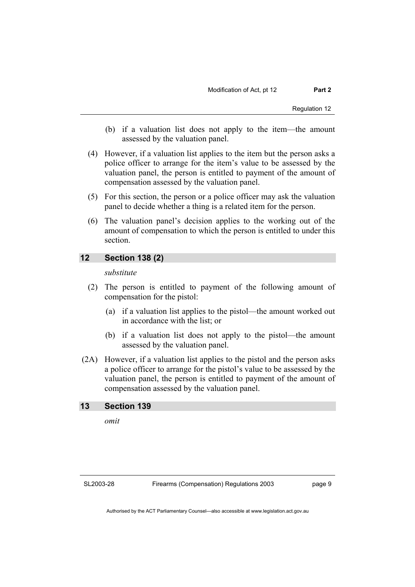- (b) if a valuation list does not apply to the item—the amount assessed by the valuation panel.
- (4) However, if a valuation list applies to the item but the person asks a police officer to arrange for the item's value to be assessed by the valuation panel, the person is entitled to payment of the amount of compensation assessed by the valuation panel.
- (5) For this section, the person or a police officer may ask the valuation panel to decide whether a thing is a related item for the person.
- (6) The valuation panel's decision applies to the working out of the amount of compensation to which the person is entitled to under this section.

### **12 Section 138 (2)**

#### *substitute*

- (2) The person is entitled to payment of the following amount of compensation for the pistol:
	- (a) if a valuation list applies to the pistol—the amount worked out in accordance with the list; or
	- (b) if a valuation list does not apply to the pistol—the amount assessed by the valuation panel.
- (2A) However, if a valuation list applies to the pistol and the person asks a police officer to arrange for the pistol's value to be assessed by the valuation panel, the person is entitled to payment of the amount of compensation assessed by the valuation panel.

#### **13 Section 139**

*omit* 

SL2003-28

page 9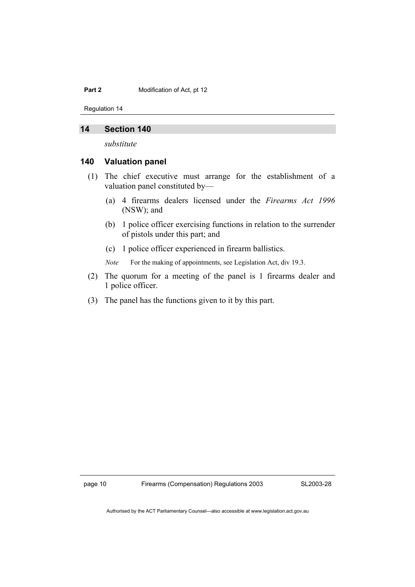Regulation 14

#### **14 Section 140**

*substitute* 

#### **140 Valuation panel**

- (1) The chief executive must arrange for the establishment of a valuation panel constituted by—
	- (a) 4 firearms dealers licensed under the *Firearms Act 1996* (NSW); and
	- (b) 1 police officer exercising functions in relation to the surrender of pistols under this part; and
	- (c) 1 police officer experienced in firearm ballistics.

*Note* For the making of appointments, see Legislation Act, div 19.3.

- (2) The quorum for a meeting of the panel is 1 firearms dealer and 1 police officer.
- (3) The panel has the functions given to it by this part.

page 10 Firearms (Compensation) Regulations 2003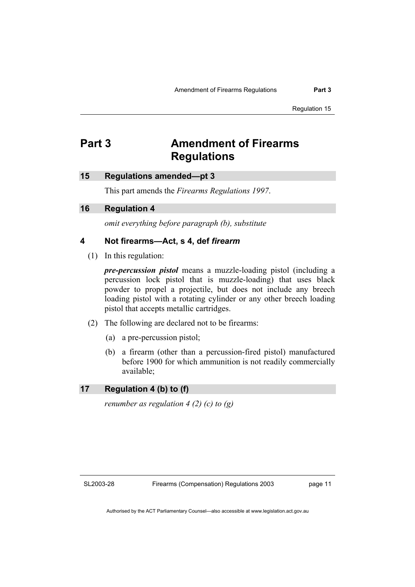Regulation 15

## **Part 3 Amendment of Firearms Regulations**

#### **15 Regulations amended—pt 3**

This part amends the *Firearms Regulations 1997*.

#### **16 Regulation 4**

*omit everything before paragraph (b), substitute* 

#### **4 Not firearms—Act, s 4, def** *firearm*

(1) In this regulation:

*pre-percussion pistol* means a muzzle-loading pistol (including a percussion lock pistol that is muzzle-loading) that uses black powder to propel a projectile, but does not include any breech loading pistol with a rotating cylinder or any other breech loading pistol that accepts metallic cartridges.

- (2) The following are declared not to be firearms:
	- (a) a pre-percussion pistol;
	- (b) a firearm (other than a percussion-fired pistol) manufactured before 1900 for which ammunition is not readily commercially available;

#### **17 Regulation 4 (b) to (f)**

*renumber as regulation 4 (2) (c) to (g)* 

SL2003-28

Firearms (Compensation) Regulations 2003

page 11